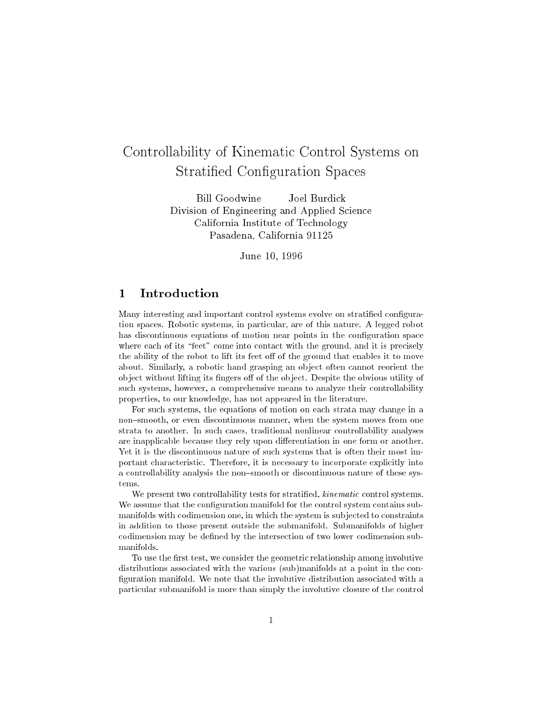# Controllability of Kinematic Control Systems on Stratified Configuration Spaces

**Bill Goodwine** Joel Burdick Division of Engineering and Applied Science California Institute of Technology Pasadena, California 91125

June 10, 1996

## 1 Introduction

Many interesting and important control systems evolve on stratified configuration spaces. Robotic systems, in particular, are of this nature. A legged robot has discontinuous equations of motion near points in the configuration space where each of its "feet" come into contact with the ground, and it is precisely the ability of the robot to lift its feet off of the ground that enables it to move about. Similarly, a robotic hand grasping an ob ject often cannot reorient the object without lifting its fingers off of the object. Despite the obvious utility of such systems, however, a comprehensive means to analyze their controllability properties, to our knowledge, has not appeared in the literature.

For such systems, the equations of motion on each strata may change in a non-smooth, or even discontinuous manner, when the system moves from one strata to another. In such cases, traditional nonlinear controllability analyses are inapplicable because they rely upon differentiation in one form or another. Yet it is the discontinuous nature of such systems that is often their most important characteristic. Therefore, it is necessary to incorporate explicitly into a controllability analysis the non-smooth or discontinuous nature of these systems.

We present two controllability tests for stratified, *kinematic* control systems. We assume that the configuration manifold for the control system contains submanifolds with codimension one, in which the system is sub jected to constraints in addition to those present outside the submanifold. Submanifolds of higher codimension may be defined by the intersection of two lower codimension submanifolds.

To use the first test, we consider the geometric relationship among involutive distributions associated with the various (sub)manifolds at a point in the con figuration manifold. We note that the involutive distribution associated with a particular submanifold is more than simply the involutive closure of the control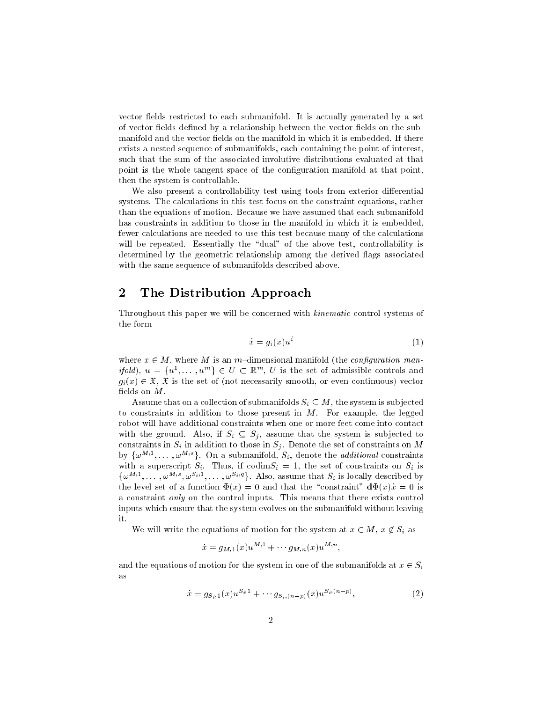vector fields restricted to each submanifold. It is actually generated by a set of vector fields defined by a relationship between the vector fields on the submanifold and the vector fields on the manifold in which it is embedded. If there exists a nested sequence of submanifolds, each containing the point of interest, such that the sum of the associated involutive distributions evaluated at that point is the whole tangent space of the configuration manifold at that point, then the system is controllable.

We also present a controllability test using tools from exterior differential systems. The calculations in this test focus on the constraint equations, rather than the equations of motion. Because we have assumed that each submanifold has constraints in addition to those in the manifold in which it is embedded, fewer calculations are needed to use this test because many of the calculations will be repeated. Essentially the "dual" of the above test, controllability is determined by the geometric relationship among the derived flags associated with the same sequence of submanifolds described above.

### 2 The Distribution Approach

Throughout this paper we will be concerned with kinematic control systems of the form

$$
\dot{x} = g_i(x)u^i \tag{1}
$$

where  $x \in M$ , where M is an m-dimensional manifold (the *configuration man* $ifoia$ ,  $u = \{u^-, \ldots, u^+\}\in U \subset \mathbb{R}^n$ ,  $U$  is the set of admissible controls and  $g_i(x) \in \mathfrak{X}, \mathfrak{X}$  is the set of (not necessarily smooth, or even continuous) vector fields on  $M$ .

Assume that on a collection of submanifolds  $S_i \subseteq M$ , the system is subjected to constraints in addition to those present in M. For example, the legged robot will have additional constraints when one or more feet come into contact with the ground. Also, if  $S_i \subseteq S_j$ , assume that the system is subjected to constraints in  $S_i$  in addition to those in  $S_j$ . Denote the set of constraints on M by  $\{\omega^{++}, \ldots, \omega^{++}\}\$ . On a submanifold,  $S_i$ , denote the *additional* constraints with a superscript  $S_i$ . Thus, if codim $S_i = 1$ , the set of constraints on  $S_i$  is  $\{\omega^{11}, \ldots, \omega^{11}, \omega^{11}, \ldots, \omega^{11}\}$ . Also, assume that  $S_i$  is locally described by the level set of a function  $\Phi(x) = 0$  and that the "constraint"  $d\Phi(x) \dot{x} = 0$  is a constraint only on the control inputs. This means that there exists control inputs which ensure that the system evolves on the submanifold without leaving it.

We will write the equations of motion for the system at  $x \in M$ ,  $x \notin S_i$  as

$$
x = g_{M,1}(x)u^{M,1} + \cdots g_{M,n}(x)u^{M,n}
$$

and the equations of motion for the system in one of the submanifolds at  $x \in S_i$ as

$$
\dot{x} = g_{S_i,1}(x)u^{S_i,1} + \cdots g_{S_i,(n-p)}(x)u^{S_i,(n-p)},\tag{2}
$$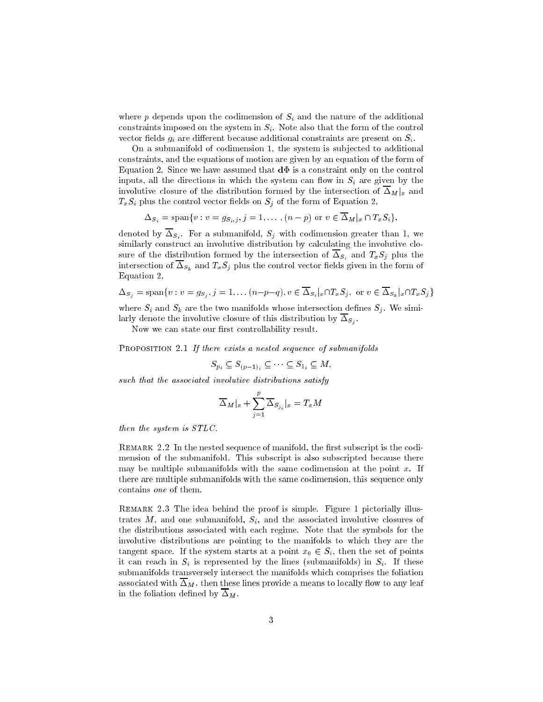where  $p$  depends upon the codimension of  $S_i$  and the nature of the additional constraints imposed on the system in  $S_i$ . Note also that the form of the control vector fields  $g_i$  are different because additional constraints are present on  $S_i$ .

On a submanifold of codimension 1, the system is sub jected to additional constraints, and the equations of motion are given by an equation of the form of Equation 2. Since we have assumed that  $d\Phi$  is a constraint only on the control inputs, all the directions in which the system can flow in  $S_i$  are given by the involutive closure of the distribution formed by the intersection of  $\overline{\Delta}_M|_x$  and  $T_xS_i$  plus the control vector fields on  $S_j$  of the form of Equation 2,

 $\Delta_{S_i} = \text{span}\{v : v = g_{S_i,j}, j = 1, \ldots, (n-p) \text{ or } v \in \overline{\Delta}_M|_x \cap T_xS_i\},\$ 

denoted by  $\Theta_i$  , since a submanifold,  $\Theta_i$  with codimension  $\Theta$  and  $\Xi$  and  $\Xi$  we similarly construct an involutive distribution by calculating the involutive closure of the distribution formed by the intersection of  $\overline{\Delta}_{S_i}$  and  $T_xS_j$  plus the intersection of  $\overline{\Delta}_{S_k}$  and  $T_xS_j$  plus the control vector fields given in the form of Equation 2,

$$
\Delta_{S_j} = \text{span}\{v : v = gs_j, j = 1, \dots (n-p-q), v \in \overline{\Delta}_{S_i}|_x \cap T_x S_j, \text{ or } v \in \overline{\Delta}_{S_k}|_x \cap T_x S_j\}
$$

where  $S_i$  and  $S_k$  are the two manifolds whose intersection defines  $S_j$ . We similarly denote the involutive closure of this distribution by Sj .

Now we can state our first controllability result.

PROPOSITION 2.1 If there exists a nested sequence of submanifolds

$$
S_{p_i} \subseteq S_{(p-1)_i} \subseteq \cdots \subseteq S_{1_i} \subseteq M,
$$

such that the associated involutive distributions satisfy

$$
\overline{\Delta}_M|_x + \sum_{j=1}^P \overline{\Delta}_{S_{j_i}}|_x = T_x M
$$

then the system is STLC.

REMARK 2.2 In the nested sequence of manifold, the first subscript is the codimension of the submanifold. This subscript is also subscripted because there may be multiple submanifolds with the same codimension at the point  $x$ . If there are multiple submanifolds with the same codimension, this sequence only contains one of them.

Remark 2.3 The idea behind the proof is simple. Figure 1 pictorially illustrates  $M$ , and one submanifold,  $S_i$ , and the associated involutive closures of the distributions associated with each regime. Note that the symbols for the involutive distributions are pointing to the manifolds to which they are the tangent space. If the system starts at a point  $x_0 \in S_i$ , then the set of points it can reach in  $S_i$  is represented by the lines (submanifolds) in  $S_i$ . If these submanifolds transversely intersect the manifolds which comprises the foliation associated with  $\overline{\Delta}_M$ , then these lines provide a means to locally flow to any leaf in the foliation defined by  $\overline{\Delta}_M$ .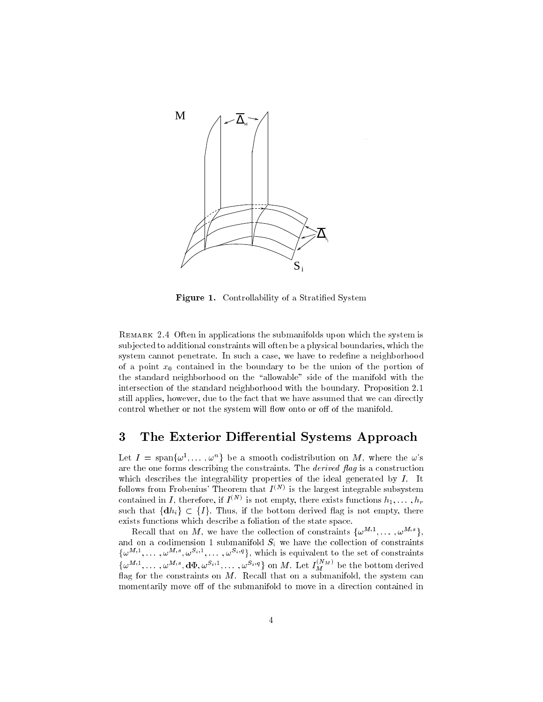

Figure 1. Controllability of a Stratified System

Remark 2.4 Often in applications the submanifolds upon which the system is sub jected to additional constraints will often be a physical boundaries, which the system cannot penetrate. In such a case, we have to redene a neighborhood of a point  $x_0$  contained in the boundary to be the union of the portion of the standard neighborhood on the "allowable" side of the manifold with the intersection of the standard neighborhood with the boundary. Proposition 2.1 still applies, however, due to the fact that we have assumed that we can directly control whether or not the system will flow onto or off of the manifold.

## 3 The Exterior Differential Systems Approach

Let  $I = \text{span}\{\omega^1, \dots, \omega^n\}$  be a smooth codistribution on M, where the  $\omega$ 's are the one forms describing the constraints. The *derived* flag is a construction which describes the integrability properties of the ideal generated by  $I$ . It follows from Frobenius' Theorem that  $I^{(N)}$  is the largest integrable subsystem contained in I, therefore, if  $I^{\langle \cdots \rangle}$  is not empty, there exists functions  $n_1, \ldots, n_r$ such that  $\{dh_i\} \subset \{I\}$ . Thus, if the bottom derived flag is not empty, there exists functions which describe a foliation of the state space.

Recall that on  $M$ , we have the collection of constraints  $\{\omega^{++},\ldots,\omega^{++}\}$ . and on a codimension  $1$  submanifold  $S_i$  the matrix  $\sim$  collection of constraints  $\sim$  $\{\omega^{11},\ldots,\omega^{11},\ldots,\omega^{11},\ldots,\omega^{11}\}$ , which is equivalent to the set of constraints  $\{\omega^{M,1},\ldots,\omega^{M,s},\mathbf{d}\Phi,\omega^{D_1,1},\ldots,\omega^{D_s,q}\}\$  on M. Let  $I_M^{\otimes M}$  be the bottom derived flag for the constraints on  $M$ . Recall that on a submanifold, the system can momentarily move off of the submanifold to move in a direction contained in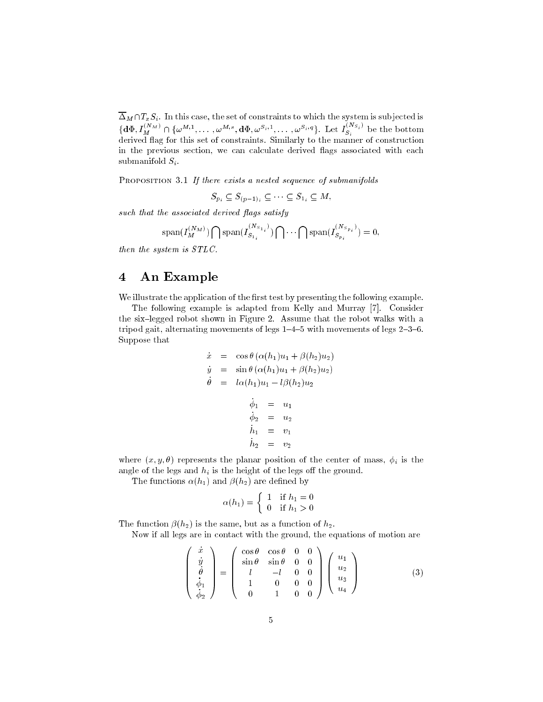$\ldots$  M  $\ldots$  is case, the set of constraints to which the system is substituted in the system is substituted in  $\{d\Phi, I_M^{(N,M)} \cap \{\omega^{M_1,1}, \dots, \omega^{M_l,s}, d\Phi, \omega^{S_l,1}, \dots, \omega^{S_l,q}\}.$  Let  $I_{S_i}^{(N,j)}$  be the bottom derived flag for this set of constraints. Similarly to the manner of construction in the previous section, we can calculate derived flags associated with each submanifold  $S_i$ .

PROPOSITION 3.1 If there exists a nested sequence of submanifolds

 $S_{p_i} \subseteq S_{(p-1)_i} \subseteq \cdots \subseteq S_{1_i} \subseteq M$ 

such that the associated derived flags satisfy

$$
\mathrm{span}(I_M^{(N_M)})\bigcap\mathrm{span}(I_{S_{1_i}}^{(N_{S_{1_i}})})\bigcap\cdots\bigcap\mathrm{span}(I_{S_{p_i}}^{(N_{S_{p_i}})})=0,
$$

then the system is STLC.

#### 4 An Example

We illustrate the application of the first test by presenting the following example.

The following example is adapted from Kelly and Murray [7]. Consider the six-legged robot shown in Figure 2. Assume that the robot walks with a tripod gait, alternating movements of legs  $1{-}4{-}5$  with movements of legs  $2{-}3{-}6$ . Suppose that

$$
\dot{x} = \cos \theta (\alpha(h_1)u_1 + \beta(h_2)u_2)
$$
\n
$$
\dot{y} = \sin \theta (\alpha(h_1)u_1 + \beta(h_2)u_2)
$$
\n
$$
\dot{\theta} = l\alpha(h_1)u_1 - l\beta(h_2)u_2
$$
\n
$$
\dot{\phi}_1 = u_1
$$
\n
$$
\dot{\phi}_2 = u_2
$$
\n
$$
\dot{h}_1 = v_1
$$
\n
$$
\dot{h}_2 = v_2
$$

where  $(x, y, \theta)$  represents the planar position of the center of mass,  $\phi_i$  is the angle of the legs and  $h_i$  is the height of the legs off the ground.

The functions  $\alpha(h_1)$  and  $\beta(h_2)$  are defined by

$$
\alpha(h_1) = \begin{cases} 1 & \text{if } h_1 = 0 \\ 0 & \text{if } h_1 > 0 \end{cases}
$$

The function  $\beta(h_2)$  is the same, but as a function of  $h_2$ .

 $\overline{\phantom{0}}$ 

 $11.11$ 

 $\overline{\phantom{0}}$ 

Now if all legs are in contact with the ground, the equations of motion are

$$
\begin{pmatrix}\n\dot{x} \\
\dot{y} \\
\dot{\theta} \\
\dot{\phi}_1 \\
\dot{\phi}_2\n\end{pmatrix} = \begin{pmatrix}\n\cos\theta & \cos\theta & 0 & 0 \\
\sin\theta & \sin\theta & 0 & 0 \\
l & -l & 0 & 0 \\
1 & 0 & 0 & 0 \\
0 & 1 & 0 & 0\n\end{pmatrix} \begin{pmatrix}\nu_1 \\
u_2 \\
u_3 \\
u_4\n\end{pmatrix}
$$
\n(3)

 $11.11$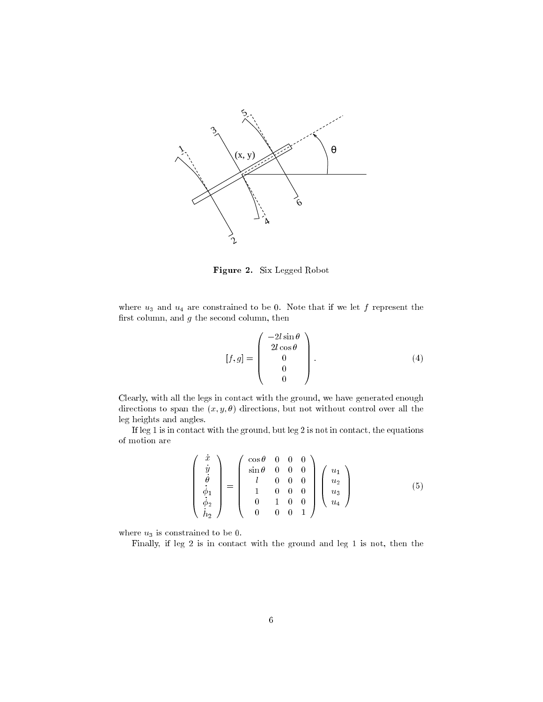

Figure 2. Six Legged Robot

where  $u_3$  and  $u_4$  are constrained to be 0. Note that if we let f represent the first column, and  $g$  the second column, then

$$
[f,g] = \begin{pmatrix} -2l\sin\theta \\ 2l\cos\theta \\ 0 \\ 0 \\ 0 \end{pmatrix}.
$$
 (4)

Clearly, with all the legs in contact with the ground, we have generated enough directions to span the  $(x, y, \theta)$  directions, but not without control over all the leg heights and angles.

If leg 1 is in contact with the ground, but leg 2 is not in contact, the equations of motion are

$$
\begin{pmatrix}\n\dot{x} \\
\dot{y} \\
\dot{\theta} \\
\dot{\phi}_1 \\
\dot{\phi}_2 \\
\dot{h}_2\n\end{pmatrix} = \begin{pmatrix}\n\cos\theta & 0 & 0 & 0 \\
\sin\theta & 0 & 0 & 0 \\
l & 0 & 0 & 0 \\
1 & 0 & 0 & 0 \\
0 & 1 & 0 & 0 \\
0 & 0 & 0 & 1\n\end{pmatrix} \begin{pmatrix}\nu_1 \\
u_2 \\
u_3 \\
u_4\n\end{pmatrix}
$$
\n(5)

where  $u_3$  is constrained to be 0.

Finally, if leg 2 is in contact with the ground and leg 1 is not, then the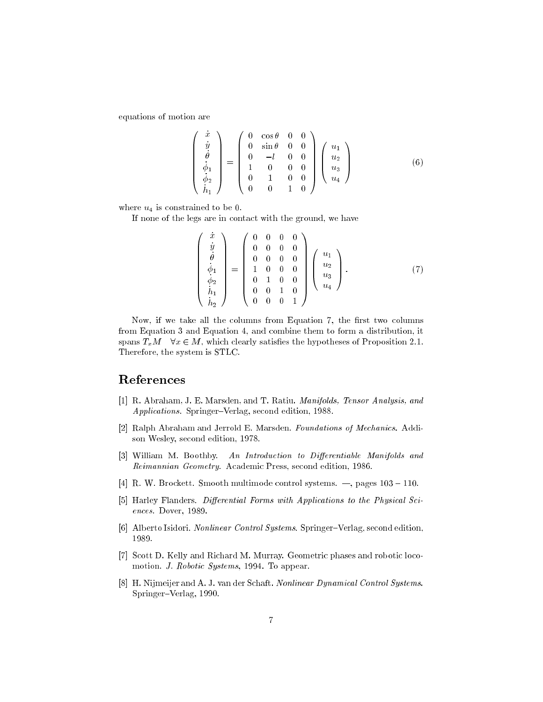equations of motion are

$$
\begin{pmatrix}\n\dot{x} \\
\dot{y} \\
\dot{\theta} \\
\dot{\phi}_1 \\
\dot{\phi}_2 \\
\dot{h}_1\n\end{pmatrix} = \begin{pmatrix}\n0 & \cos\theta & 0 & 0 \\
0 & \sin\theta & 0 & 0 \\
0 & -l & 0 & 0 \\
1 & 0 & 0 & 0 \\
0 & 1 & 0 & 0 \\
0 & 0 & 1 & 0\n\end{pmatrix} \begin{pmatrix}\nu_1 \\
u_2 \\
u_3 \\
u_4\n\end{pmatrix}
$$
\n(6)

where  $u_4$  is constrained to be 0.

If none of the legs are in contact with the ground, we have

$$
\begin{pmatrix}\n\dot{x} \\
\dot{y} \\
\dot{\theta} \\
\dot{\phi}_1 \\
\dot{\phi}_2 \\
\dot{h}_1 \\
\dot{h}_2\n\end{pmatrix} = \begin{pmatrix}\n0 & 0 & 0 & 0 \\
0 & 0 & 0 & 0 \\
0 & 0 & 0 & 0 \\
1 & 0 & 0 & 0 \\
0 & 1 & 0 & 0 \\
0 & 0 & 1 & 0 \\
0 & 0 & 0 & 1\n\end{pmatrix} \begin{pmatrix}\nu_1 \\
u_2 \\
u_3 \\
u_4\n\end{pmatrix}.
$$
\n(7)

Now, if we take all the columns from Equation 7, the first two columns from Equation 3 and Equation 4, and combine them to form a distribution, it spans  $T_xM \quad \forall x \in M$ , which clearly satisfies the hypotheses of Proposition 2.1. Therefore, the system is STLC.

#### References

- [1] R. Abraham, J. E. Marsden, and T. Ratiu. Manifolds, Tensor Analysis, and Applications. Springer-Verlag, second edition, 1988.
- [2] Ralph Abraham and Jerrold E. Marsden. Foundations of Mechanics. Addison Wesley, second edition, 1978.
- [3] William M. Boothby. An Introduction to Differentiable Manifolds and Reimannian Geometry. Academic Press, second edition, 1986.
- [4] R. W. Brockett. Smooth multimode control systems.  $-$ , pages 103 110.
- [5] Harley Flanders. Differential Forms with Applications to the Physical Sciences. Dover, 1989.
- [6] Alberto Isidori. Nonlinear Control Systems. Springer-Verlag, second edition, 1989.
- [7] Scott D. Kelly and Richard M. Murray. Geometric phases and robotic locomotion. J. Robotic Systems, 1994. To appear.
- [8] H. Nijmeijer and A. J. van der Schaft. Nonlinear Dynamical Control Systems. Springer-Verlag, 1990.